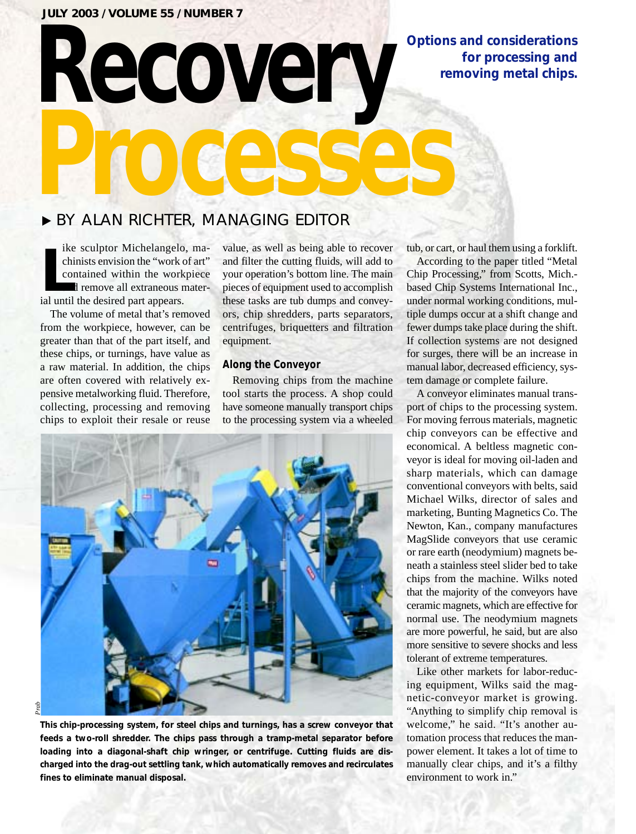#### **JULY 2003 / VOLUME 55 / NUMBER 7**

## **Options and considerations for processing and removing metal chips.**

# ▶ BY ALAN RICHTER, MANAGING EDITOR

**Recovery**

**Leap Exercise School School School School School School School School School School School School School School School School School School School School School School School School School School School School School Scho** ike sculptor Michelangelo, machinists envision the "work of art" contained within the workpiece and remove all extraneous mater-

The volume of metal that's removed from the workpiece, however, can be greater than that of the part itself, and these chips, or turnings, have value as a raw material. In addition, the chips are often covered with relatively expensive metalworking fluid. Therefore, collecting, processing and removing chips to exploit their resale or reuse

value, as well as being able to recover and filter the cutting fluids, will add to your operation's bottom line. The main pieces of equipment used to accomplish these tasks are tub dumps and conveyors, chip shredders, parts separators, centrifuges, briquetters and filtration equipment.

#### **Along the Conveyor**

**Processes**

Removing chips from the machine tool starts the process. A shop could have someone manually transport chips to the processing system via a wheeled



**This chip-processing system, for steel chips and turnings, has a screw conveyor that feeds a two-roll shredder. The chips pass through a tramp-metal separator before loading into a diagonal-shaft chip wringer, or centrifuge. Cutting fluids are discharged into the drag-out settling tank, which automatically removes and recirculates fines to eliminate manual disposal.** 

tub, or cart, or haul them using a forklift.

According to the paper titled "Metal Chip Processing," from Scotts, Mich. based Chip Systems International Inc., under normal working conditions, multiple dumps occur at a shift change and fewer dumps take place during the shift. If collection systems are not designed for surges, there will be an increase in manual labor, decreased efficiency, system damage or complete failure.

A conveyor eliminates manual transport of chips to the processing system. For moving ferrous materials, magnetic chip conveyors can be effective and economical. A beltless magnetic conveyor is ideal for moving oil-laden and sharp materials, which can damage conventional conveyors with belts, said Michael Wilks, director of sales and marketing, Bunting Magnetics Co. The Newton, Kan., company manufactures MagSlide conveyors that use ceramic or rare earth (neodymium) magnets beneath a stainless steel slider bed to take chips from the machine. Wilks noted that the majority of the conveyors have ceramic magnets, which are effective for normal use. The neodymium magnets are more powerful, he said, but are also more sensitive to severe shocks and less tolerant of extreme temperatures.

Like other markets for labor-reducing equipment, Wilks said the magnetic-conveyor market is growing. "Anything to simplify chip removal is welcome," he said. "It's another automation process that reduces the manpower element. It takes a lot of time to manually clear chips, and it's a filthy environment to work in."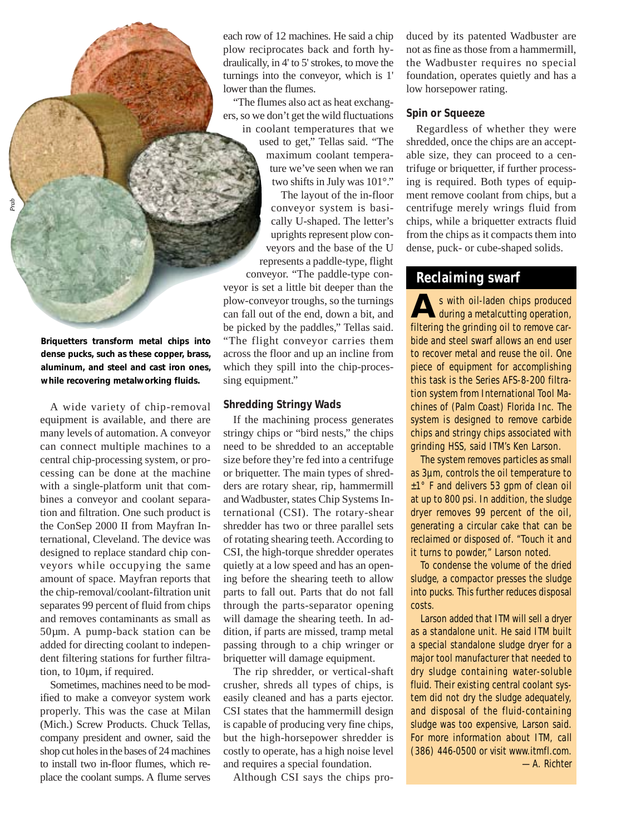each row of 12 machines. He said a chip plow reciprocates back and forth hydraulically, in 4' to 5' strokes, to move the turnings into the conveyor, which is 1' lower than the flumes.

"The flumes also act as heat exchangers, so we don't get the wild fluctuations in coolant temperatures that we used to get," Tellas said. "The maximum coolant temperature we've seen when we ran two shifts in July was 101°."

The layout of the in-floor conveyor system is basically U-shaped. The letter's uprights represent plow conveyors and the base of the U represents a paddle-type, flight conveyor. "The paddle-type conveyor is set a little bit deeper than the plow-conveyor troughs, so the turnings can fall out of the end, down a bit, and be picked by the paddles," Tellas said. "The flight conveyor carries them across the floor and up an incline from which they spill into the chip-processing equipment."

#### **Shredding Stringy Wads**

If the machining process generates stringy chips or "bird nests," the chips need to be shredded to an acceptable size before they're fed into a centrifuge or briquetter. The main types of shredders are rotary shear, rip, hammermill and Wadbuster, states Chip Systems International (CSI). The rotary-shear shredder has two or three parallel sets of rotating shearing teeth. According to CSI, the high-torque shredder operates quietly at a low speed and has an opening before the shearing teeth to allow parts to fall out. Parts that do not fall through the parts-separator opening will damage the shearing teeth. In addition, if parts are missed, tramp metal passing through to a chip wringer or briquetter will damage equipment.

The rip shredder, or vertical-shaft crusher, shreds all types of chips, is easily cleaned and has a parts ejector. CSI states that the hammermill design is capable of producing very fine chips, but the high-horsepower shredder is costly to operate, has a high noise level and requires a special foundation.

Although CSI says the chips pro-

duced by its patented Wadbuster are not as fine as those from a hammermill, the Wadbuster requires no special foundation, operates quietly and has a low horsepower rating.

#### **Spin or Squeeze**

Regardless of whether they were shredded, once the chips are an acceptable size, they can proceed to a centrifuge or briquetter, if further processing is required. Both types of equipment remove coolant from chips, but a centrifuge merely wrings fluid from chips, while a briquetter extracts fluid from the chips as it compacts them into dense, puck- or cube-shaped solids.

### **Reclaiming swarf**

s with oil-laden chips produced<br>during a metalcutting operation, filtering the grinding oil to remove carbide and steel swarf allows an end user to recover metal and reuse the oil. One piece of equipment for accomplishing this task is the Series AFS-8-200 filtration system from International Tool Machines of (Palm Coast) Florida Inc. The system is designed to remove carbide chips and stringy chips associated with grinding HSS, said ITM's Ken Larson.

The system removes particles as small as 3µm, controls the oil temperature to ±1° F and delivers 53 gpm of clean oil at up to 800 psi. In addition, the sludge dryer removes 99 percent of the oil, generating a circular cake that can be reclaimed or disposed of. "Touch it and it turns to powder," Larson noted.

To condense the volume of the dried sludge, a compactor presses the sludge into pucks. This further reduces disposal costs.

Larson added that ITM will sell a dryer as a standalone unit. He said ITM built a special standalone sludge dryer for a major tool manufacturer that needed to dry sludge containing water-soluble fluid. Their existing central coolant system did not dry the sludge adequately, and disposal of the fluid-containing sludge was too expensive, Larson said. *For more information about ITM, call (386) 446-0500 or visit www.itmfl.com. —A. Richter*

**Briquetters transform metal chips into dense pucks, such as these copper, brass, aluminum, and steel and cast iron ones, while recovering metalworking fluids.**

*Prab*

A wide variety of chip-removal equipment is available, and there are many levels of automation. A conveyor can connect multiple machines to a central chip-processing system, or processing can be done at the machine with a single-platform unit that combines a conveyor and coolant separation and filtration. One such product is the ConSep 2000 II from Mayfran International, Cleveland. The device was designed to replace standard chip conveyors while occupying the same amount of space. Mayfran reports that the chip-removal/coolant-filtration unit separates 99 percent of fluid from chips and removes contaminants as small as 50µm. A pump-back station can be added for directing coolant to independent filtering stations for further filtration, to 10µm, if required.

Sometimes, machines need to be modified to make a conveyor system work properly. This was the case at Milan (Mich.) Screw Products. Chuck Tellas, company president and owner, said the shop cut holes in the bases of 24 machines to install two in-floor flumes, which replace the coolant sumps. A flume serves